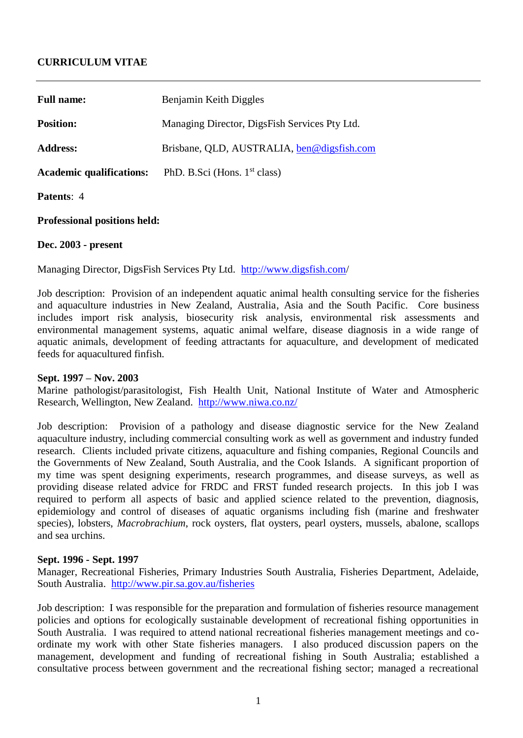# **CURRICULUM VITAE**

| <b>Full name:</b>               | Benjamin Keith Diggles                        |
|---------------------------------|-----------------------------------------------|
| <b>Position:</b>                | Managing Director, DigsFish Services Pty Ltd. |
| <b>Address:</b>                 | Brisbane, QLD, AUSTRALIA, ben@digsfish.com    |
| <b>Academic qualifications:</b> | PhD. B.Sci (Hons. $1st$ class)                |
| <b>Patents: 4</b>               |                                               |

**Professional positions held:**

### **Dec. 2003 - present**

Managing Director, DigsFish Services Pty Ltd. <http://www.digsfish.com/>

Job description: Provision of an independent aquatic animal health consulting service for the fisheries and aquaculture industries in New Zealand, Australia, Asia and the South Pacific. Core business includes import risk analysis, biosecurity risk analysis, environmental risk assessments and environmental management systems, aquatic animal welfare, disease diagnosis in a wide range of aquatic animals, development of feeding attractants for aquaculture, and development of medicated feeds for aquacultured finfish.

#### **Sept. 1997 – Nov. 2003**

Marine pathologist/parasitologist, Fish Health Unit, National Institute of Water and Atmospheric Research, Wellington, New Zealand. <http://www.niwa.co.nz/>

Job description: Provision of a pathology and disease diagnostic service for the New Zealand aquaculture industry, including commercial consulting work as well as government and industry funded research. Clients included private citizens, aquaculture and fishing companies, Regional Councils and the Governments of New Zealand, South Australia, and the Cook Islands. A significant proportion of my time was spent designing experiments, research programmes, and disease surveys, as well as providing disease related advice for FRDC and FRST funded research projects. In this job I was required to perform all aspects of basic and applied science related to the prevention, diagnosis, epidemiology and control of diseases of aquatic organisms including fish (marine and freshwater species), lobsters, *Macrobrachium*, rock oysters, flat oysters, pearl oysters, mussels, abalone, scallops and sea urchins.

#### **Sept. 1996 - Sept. 1997**

Manager, Recreational Fisheries, Primary Industries South Australia, Fisheries Department, Adelaide, South Australia. [http://www.pir.sa.gov.au/fisheries](http://www.pir.sa.gov.au/sector7.shtml)

Job description: I was responsible for the preparation and formulation of fisheries resource management policies and options for ecologically sustainable development of recreational fishing opportunities in South Australia. I was required to attend national recreational fisheries management meetings and coordinate my work with other State fisheries managers. I also produced discussion papers on the management, development and funding of recreational fishing in South Australia; established a consultative process between government and the recreational fishing sector; managed a recreational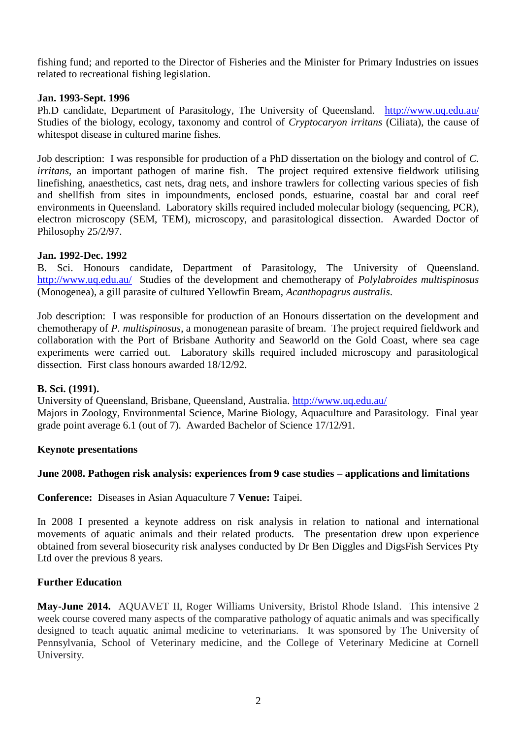fishing fund; and reported to the Director of Fisheries and the Minister for Primary Industries on issues related to recreational fishing legislation.

### **Jan. 1993-Sept. 1996**

Ph.D candidate, Department of Parasitology, The University of Queensland. <http://www.uq.edu.au/> Studies of the biology, ecology, taxonomy and control of *Cryptocaryon irritans* (Ciliata), the cause of whitespot disease in cultured marine fishes.

Job description: I was responsible for production of a PhD dissertation on the biology and control of *C. irritans*, an important pathogen of marine fish. The project required extensive fieldwork utilising linefishing, anaesthetics, cast nets, drag nets, and inshore trawlers for collecting various species of fish and shellfish from sites in impoundments, enclosed ponds, estuarine, coastal bar and coral reef environments in Queensland. Laboratory skills required included molecular biology (sequencing, PCR), electron microscopy (SEM, TEM), microscopy, and parasitological dissection. Awarded Doctor of Philosophy 25/2/97.

### **Jan. 1992-Dec. 1992**

B. Sci. Honours candidate, Department of Parasitology, The University of Queensland. <http://www.uq.edu.au/>Studies of the development and chemotherapy of *Polylabroides multispinosus*  (Monogenea), a gill parasite of cultured Yellowfin Bream, *Acanthopagrus australis*.

Job description: I was responsible for production of an Honours dissertation on the development and chemotherapy of *P. multispinosus*, a monogenean parasite of bream. The project required fieldwork and collaboration with the Port of Brisbane Authority and Seaworld on the Gold Coast, where sea cage experiments were carried out. Laboratory skills required included microscopy and parasitological dissection. First class honours awarded 18/12/92.

### **B. Sci. (1991).**

University of Queensland, Brisbane, Queensland, Australia.<http://www.uq.edu.au/> Majors in Zoology, Environmental Science, Marine Biology, Aquaculture and Parasitology. Final year grade point average 6.1 (out of 7). Awarded Bachelor of Science 17/12/91.

#### **Keynote presentations**

## **June 2008. Pathogen risk analysis: experiences from 9 case studies – applications and limitations**

**Conference:** Diseases in Asian Aquaculture 7 **Venue:** Taipei.

In 2008 I presented a keynote address on risk analysis in relation to national and international movements of aquatic animals and their related products. The presentation drew upon experience obtained from several biosecurity risk analyses conducted by Dr Ben Diggles and DigsFish Services Pty Ltd over the previous 8 years.

### **Further Education**

**May-June 2014.** AQUAVET II, Roger Williams University, Bristol Rhode Island. This intensive 2 week course covered many aspects of the comparative pathology of aquatic animals and was specifically designed to teach aquatic animal medicine to veterinarians. It was sponsored by The University of Pennsylvania, School of Veterinary medicine, and the College of Veterinary Medicine at Cornell University.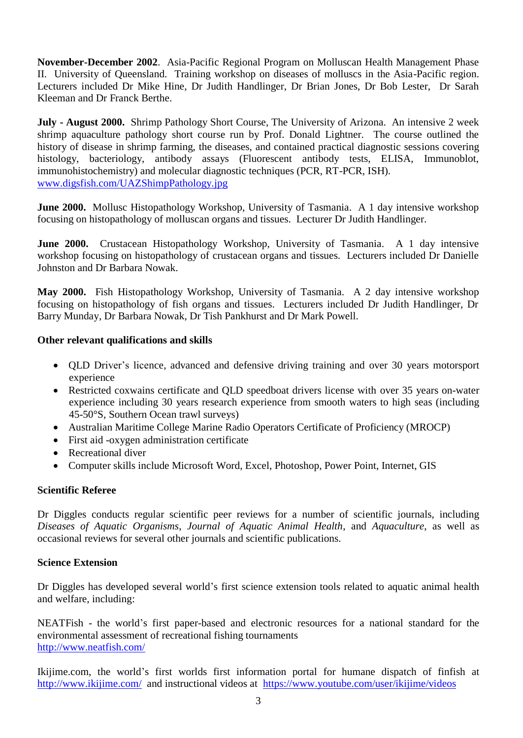**November-December 2002**. Asia-Pacific Regional Program on Molluscan Health Management Phase II. University of Queensland. Training workshop on diseases of molluscs in the Asia-Pacific region. Lecturers included Dr Mike Hine, Dr Judith Handlinger, Dr Brian Jones, Dr Bob Lester, Dr Sarah Kleeman and Dr Franck Berthe.

**July - August 2000.** Shrimp Pathology Short Course, The University of Arizona. An intensive 2 week shrimp aquaculture pathology short course run by Prof. Donald Lightner. The course outlined the history of disease in shrimp farming, the diseases, and contained practical diagnostic sessions covering histology, bacteriology, antibody assays (Fluorescent antibody tests, ELISA, Immunoblot, immunohistochemistry) and molecular diagnostic techniques (PCR, RT-PCR, ISH). [www.digsfish.com/UAZShimpPathology.jpg](http://www.digsfish.com/UAZShimpPathology.jpg)

**June 2000.** Mollusc Histopathology Workshop, University of Tasmania. A 1 day intensive workshop focusing on histopathology of molluscan organs and tissues. Lecturer Dr Judith Handlinger.

**June 2000.** Crustacean Histopathology Workshop, University of Tasmania. A 1 day intensive workshop focusing on histopathology of crustacean organs and tissues. Lecturers included Dr Danielle Johnston and Dr Barbara Nowak.

**May 2000.** Fish Histopathology Workshop, University of Tasmania. A 2 day intensive workshop focusing on histopathology of fish organs and tissues. Lecturers included Dr Judith Handlinger, Dr Barry Munday, Dr Barbara Nowak, Dr Tish Pankhurst and Dr Mark Powell.

# **Other relevant qualifications and skills**

- QLD Driver's licence, advanced and defensive driving training and over 30 years motorsport experience
- Restricted coxwains certificate and OLD speedboat drivers license with over 35 years on-water experience including 30 years research experience from smooth waters to high seas (including 45-50°S, Southern Ocean trawl surveys)
- Australian Maritime College Marine Radio Operators Certificate of Proficiency (MROCP)
- First aid -oxygen administration certificate
- Recreational diver
- Computer skills include Microsoft Word, Excel, Photoshop, Power Point, Internet, GIS

# **Scientific Referee**

Dr Diggles conducts regular scientific peer reviews for a number of scientific journals, including *Diseases of Aquatic Organisms*, *Journal of Aquatic Animal Health*, and *Aquaculture*, as well as occasional reviews for several other journals and scientific publications.

## **Science Extension**

Dr Diggles has developed several world's first science extension tools related to aquatic animal health and welfare, including:

NEATFish - the world's first paper-based and electronic resources for a national standard for the environmental assessment of recreational fishing tournaments <http://www.neatfish.com/>

Ikijime.com, the world's first worlds first information portal for humane dispatch of finfish at <http://www.ikijime.com/>and instructional videos at <https://www.youtube.com/user/ikijime/videos>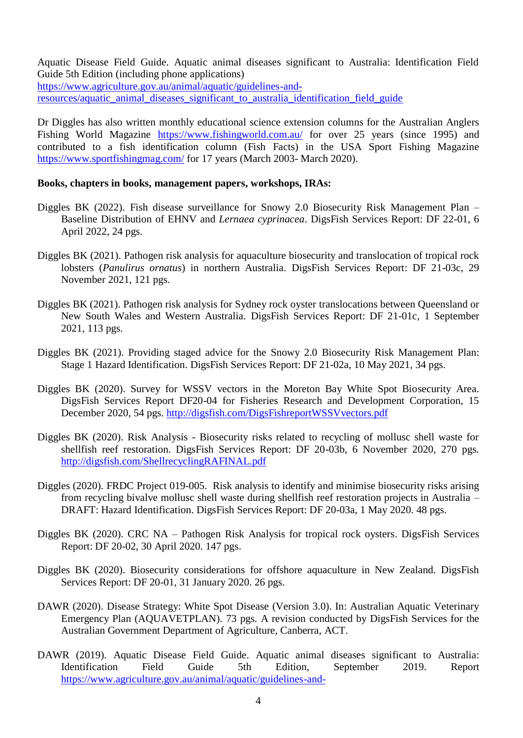Aquatic Disease Field Guide. Aquatic animal diseases significant to Australia: Identification Field Guide 5th Edition (including phone applications)

[https://www.agriculture.gov.au/animal/aquatic/guidelines-and-](https://www.agriculture.gov.au/animal/aquatic/guidelines-and-resources/aquatic_animal_diseases_significant_to_australia_identification_field_guide)

[resources/aquatic\\_animal\\_diseases\\_significant\\_to\\_australia\\_identification\\_field\\_guide](https://www.agriculture.gov.au/animal/aquatic/guidelines-and-resources/aquatic_animal_diseases_significant_to_australia_identification_field_guide)

Dr Diggles has also written monthly educational science extension columns for the Australian Anglers Fishing World Magazine <https://www.fishingworld.com.au/> for over 25 years (since 1995) and contributed to a fish identification column (Fish Facts) in the USA Sport Fishing Magazine <https://www.sportfishingmag.com/> for 17 years (March 2003- March 2020).

## **Books, chapters in books, management papers, workshops, IRAs:**

- Diggles BK (2022). Fish disease surveillance for Snowy 2.0 Biosecurity Risk Management Plan Baseline Distribution of EHNV and *Lernaea cyprinacea*. DigsFish Services Report: DF 22-01, 6 April 2022, 24 pgs.
- Diggles BK (2021). Pathogen risk analysis for aquaculture biosecurity and translocation of tropical rock lobsters (*Panulirus ornatus*) in northern Australia. DigsFish Services Report: DF 21-03c, 29 November 2021, 121 pgs.
- Diggles BK (2021). Pathogen risk analysis for Sydney rock oyster translocations between Queensland or New South Wales and Western Australia. DigsFish Services Report: DF 21-01c, 1 September 2021, 113 pgs.
- Diggles BK (2021). Providing staged advice for the Snowy 2.0 Biosecurity Risk Management Plan: Stage 1 Hazard Identification. DigsFish Services Report: DF 21-02a, 10 May 2021, 34 pgs.
- Diggles BK (2020). Survey for WSSV vectors in the Moreton Bay White Spot Biosecurity Area. DigsFish Services Report DF20-04 for Fisheries Research and Development Corporation, 15 December 2020, 54 pgs.<http://digsfish.com/DigsFishreportWSSVvectors.pdf>
- Diggles BK (2020). Risk Analysis Biosecurity risks related to recycling of mollusc shell waste for shellfish reef restoration. DigsFish Services Report: DF 20-03b, 6 November 2020, 270 pgs. <http://digsfish.com/ShellrecyclingRAFINAL.pdf>
- Diggles (2020). FRDC Project 019-005. Risk analysis to identify and minimise biosecurity risks arising from recycling bivalve mollusc shell waste during shellfish reef restoration projects in Australia – DRAFT: Hazard Identification. DigsFish Services Report: DF 20-03a, 1 May 2020. 48 pgs.
- Diggles BK (2020). CRC NA Pathogen Risk Analysis for tropical rock oysters. DigsFish Services Report: DF 20-02, 30 April 2020. 147 pgs.
- Diggles BK (2020). Biosecurity considerations for offshore aquaculture in New Zealand. DigsFish Services Report: DF 20-01, 31 January 2020. 26 pgs.
- DAWR (2020). Disease Strategy: White Spot Disease (Version 3.0). In: Australian Aquatic Veterinary Emergency Plan (AQUAVETPLAN). 73 pgs. A revision conducted by DigsFish Services for the Australian Government Department of Agriculture, Canberra, ACT.
- DAWR (2019). Aquatic Disease Field Guide. Aquatic animal diseases significant to Australia: Identification Field Guide 5th Edition, September 2019. Report [https://www.agriculture.gov.au/animal/aquatic/guidelines-and-](https://www.agriculture.gov.au/animal/aquatic/guidelines-and-resources/aquatic_animal_diseases_significant_to_australia_identification_field_guide)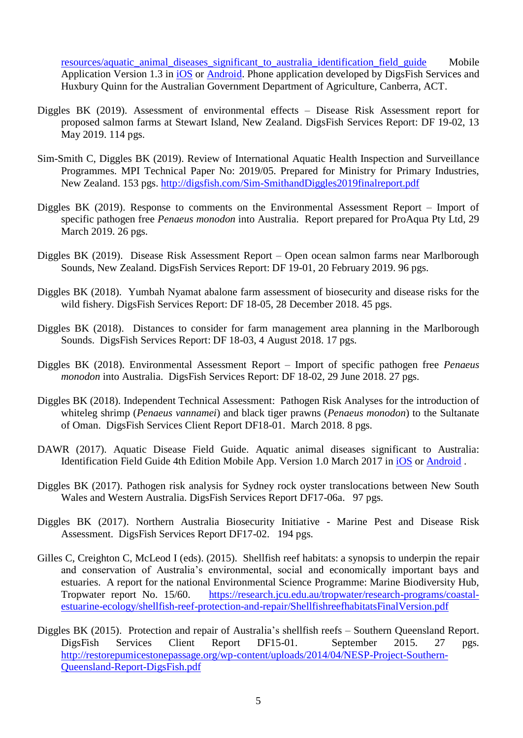[resources/aquatic\\_animal\\_diseases\\_significant\\_to\\_australia\\_identification\\_field\\_guide](https://www.agriculture.gov.au/animal/aquatic/guidelines-and-resources/aquatic_animal_diseases_significant_to_australia_identification_field_guide) Mobile Application Version 1.3 in [iOS](https://itunes.apple.com/au/app/aquatic-disease-field-guide/id1217061785?mt=8) or [Android.](https://play.google.com/store/apps/details?id=au.gov.aquatic_disease_field_guide&hl=en_AU) Phone application developed by DigsFish Services and Huxbury Quinn for the Australian Government Department of Agriculture, Canberra, ACT.

- Diggles BK (2019). Assessment of environmental effects Disease Risk Assessment report for proposed salmon farms at Stewart Island, New Zealand. DigsFish Services Report: DF 19-02, 13 May 2019. 114 pgs.
- Sim-Smith C, Diggles BK (2019). Review of International Aquatic Health Inspection and Surveillance Programmes. MPI Technical Paper No: 2019/05. Prepared for Ministry for Primary Industries, New Zealand. 153 pgs.<http://digsfish.com/Sim-SmithandDiggles2019finalreport.pdf>
- Diggles BK (2019). Response to comments on the Environmental Assessment Report Import of specific pathogen free *Penaeus monodon* into Australia. Report prepared for ProAqua Pty Ltd, 29 March 2019. 26 pgs.
- Diggles BK (2019). Disease Risk Assessment Report Open ocean salmon farms near Marlborough Sounds, New Zealand. DigsFish Services Report: DF 19-01, 20 February 2019. 96 pgs.
- Diggles BK (2018). Yumbah Nyamat abalone farm assessment of biosecurity and disease risks for the wild fishery. DigsFish Services Report: DF 18-05, 28 December 2018. 45 pgs.
- Diggles BK (2018). Distances to consider for farm management area planning in the Marlborough Sounds. DigsFish Services Report: DF 18-03, 4 August 2018. 17 pgs.
- Diggles BK (2018). Environmental Assessment Report Import of specific pathogen free *Penaeus monodon* into Australia. DigsFish Services Report: DF 18-02, 29 June 2018. 27 pgs.
- Diggles BK (2018). Independent Technical Assessment: Pathogen Risk Analyses for the introduction of whiteleg shrimp (*Penaeus vannamei*) and black tiger prawns (*Penaeus monodon*) to the Sultanate of Oman. DigsFish Services Client Report DF18-01. March 2018. 8 pgs.
- DAWR (2017). Aquatic Disease Field Guide. Aquatic animal diseases significant to Australia: Identification Field Guide 4th Edition Mobile App. Version 1.0 March 2017 i[n iOS](https://itunes.apple.com/au/app/aquatic-disease-field-guide/id1217061785?mt=8) or [Android](https://play.google.com/store/apps/details?id=au.gov.aquatic_disease_field_guide&hl=en_AU) .
- Diggles BK (2017). Pathogen risk analysis for Sydney rock oyster translocations between New South Wales and Western Australia. DigsFish Services Report DF17-06a. 97 pgs.
- Diggles BK (2017). Northern Australia Biosecurity Initiative Marine Pest and Disease Risk Assessment. DigsFish Services Report DF17-02. 194 pgs.
- Gilles C, Creighton C, McLeod I (eds). (2015). Shellfish reef habitats: a synopsis to underpin the repair and conservation of Australia's environmental, social and economically important bays and estuaries. A report for the national Environmental Science Programme: Marine Biodiversity Hub, Tropwater report No. 15/60. [https://research.jcu.edu.au/tropwater/research-programs/coastal](https://research.jcu.edu.au/tropwater/research-programs/coastal-estuarine-ecology/shellfish-reef-protection-and-repair/ShellfishreefhabitatsFinalVersion.pdf)[estuarine-ecology/shellfish-reef-protection-and-repair/ShellfishreefhabitatsFinalVersion.pdf](https://research.jcu.edu.au/tropwater/research-programs/coastal-estuarine-ecology/shellfish-reef-protection-and-repair/ShellfishreefhabitatsFinalVersion.pdf)
- Diggles BK (2015). Protection and repair of Australia's shellfish reefs Southern Queensland Report. DigsFish Services Client Report DF15-01. September 2015. 27 pgs. [http://restorepumicestonepassage.org/wp-content/uploads/2014/04/NESP-Project-Southern-](http://restorepumicestonepassage.org/wp-content/uploads/2014/04/NESP-Project-Southern-Queensland-Report-DigsFish.pdf)[Queensland-Report-DigsFish.pdf](http://restorepumicestonepassage.org/wp-content/uploads/2014/04/NESP-Project-Southern-Queensland-Report-DigsFish.pdf)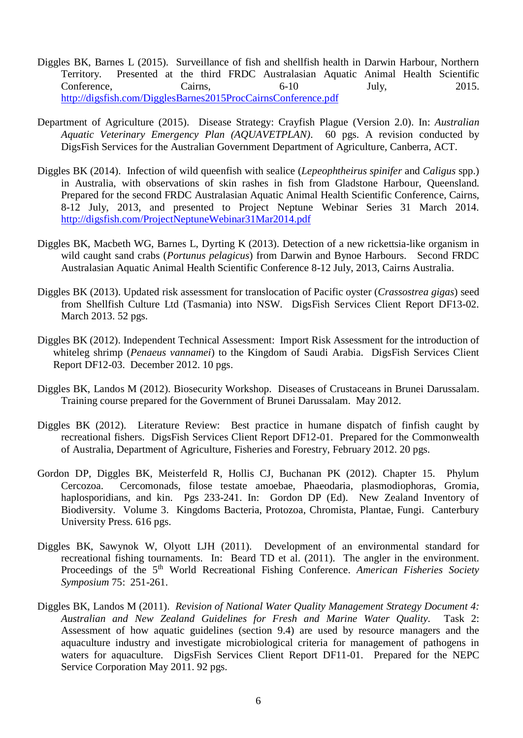- Diggles BK, Barnes L (2015). Surveillance of fish and shellfish health in Darwin Harbour, Northern Territory. Presented at the third FRDC Australasian Aquatic Animal Health Scientific Conference, Cairns, 6-10 July, 2015. <http://digsfish.com/DigglesBarnes2015ProcCairnsConference.pdf>
- Department of Agriculture (2015). Disease Strategy: Crayfish Plague (Version 2.0). In: *Australian Aquatic Veterinary Emergency Plan (AQUAVETPLAN)*. 60 pgs. A revision conducted by DigsFish Services for the Australian Government Department of Agriculture, Canberra, ACT.
- Diggles BK (2014). [Infection of wild queenfish with sealice \(](http://www.digsfish.com/queenfishpres.pdf)*Lepeophtheirus spinifer* and *Caligus* spp.) [in Australia, with observations of skin rashes in fish from Gladstone Harbour, Queensland.](http://www.digsfish.com/queenfishpres.pdf) Prepared for the second FRDC Australasian Aquatic Animal Health Scientific Conference, Cairns, 8-12 July, 2013, and presented to Project Neptune Webinar Series 31 March 2014. <http://digsfish.com/ProjectNeptuneWebinar31Mar2014.pdf>
- Diggles BK, Macbeth WG, Barnes L, Dyrting K (2013). Detection of a new rickettsia-like organism in wild caught sand crabs (*Portunus pelagicus*) from Darwin and Bynoe Harbours. Second FRDC Australasian Aquatic Animal Health Scientific Conference 8-12 July, 2013, Cairns Australia.
- Diggles BK (2013). Updated risk assessment for translocation of Pacific oyster (*Crassostrea gigas*) seed from Shellfish Culture Ltd (Tasmania) into NSW. DigsFish Services Client Report DF13-02. March 2013. 52 pgs.
- Diggles BK (2012). Independent Technical Assessment: Import Risk Assessment for the introduction of whiteleg shrimp (*Penaeus vannamei*) to the Kingdom of Saudi Arabia. DigsFish Services Client Report DF12-03. December 2012. 10 pgs.
- Diggles BK, Landos M (2012). Biosecurity Workshop. Diseases of Crustaceans in Brunei Darussalam. Training course prepared for the Government of Brunei Darussalam. May 2012.
- Diggles BK (2012). Literature Review: Best practice in humane dispatch of finfish caught by recreational fishers. DigsFish Services Client Report DF12-01. Prepared for the Commonwealth of Australia, Department of Agriculture, Fisheries and Forestry, February 2012. 20 pgs.
- Gordon DP, Diggles BK, Meisterfeld R, Hollis CJ, Buchanan PK (2012). Chapter 15. Phylum Cercozoa. Cercomonads, filose testate amoebae, Phaeodaria, plasmodiophoras, Gromia, haplosporidians, and kin. Pgs 233-241. In: Gordon DP (Ed). New Zealand Inventory of Biodiversity. Volume 3. Kingdoms Bacteria, Protozoa, Chromista, Plantae, Fungi. Canterbury University Press. 616 pgs.
- Diggles BK, Sawynok W, Olyott LJH (2011). Development of an environmental standard for recreational fishing tournaments. In: Beard TD et al. (2011). The angler in the environment. Proceedings of the 5<sup>th</sup> World Recreational Fishing Conference. *American Fisheries Society Symposium* 75: 251-261.
- Diggles BK, Landos M (2011). *Revision of National Water Quality Management Strategy Document 4: Australian and New Zealand Guidelines for Fresh and Marine Water Quality.* Task 2: Assessment of how aquatic guidelines (section 9.4) are used by resource managers and the aquaculture industry and investigate microbiological criteria for management of pathogens in waters for aquaculture. DigsFish Services Client Report DF11-01. Prepared for the NEPC Service Corporation May 2011. 92 pgs.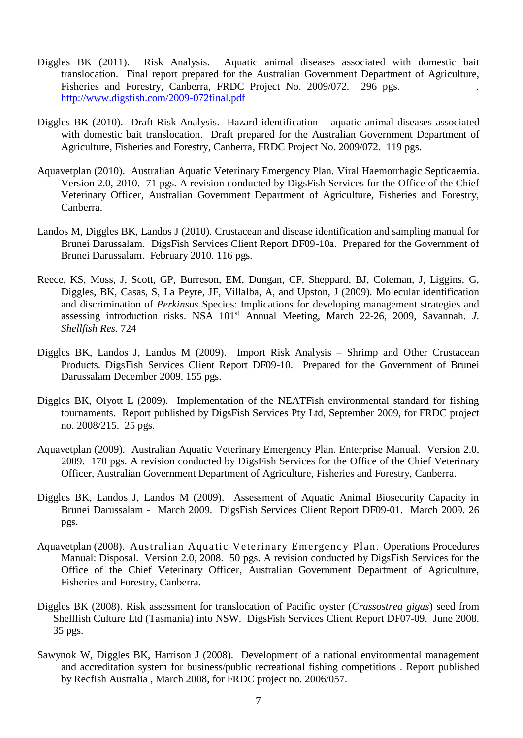- Diggles BK (2011). Risk Analysis. Aquatic animal diseases associated with domestic bait translocation. Final report prepared for the Australian Government Department of Agriculture, Fisheries and Forestry, Canberra, FRDC Project No. 2009/072. 296 pgs. . <http://www.digsfish.com/2009-072final.pdf>
- Diggles BK (2010). Draft Risk Analysis. Hazard identification aquatic animal diseases associated with domestic bait translocation. Draft prepared for the Australian Government Department of Agriculture, Fisheries and Forestry, Canberra, FRDC Project No. 2009/072. 119 pgs.
- Aquavetplan (2010). Australian Aquatic Veterinary Emergency Plan. Viral Haemorrhagic Septicaemia. Version 2.0, 2010. 71 pgs. A revision conducted by DigsFish Services for the Office of the Chief Veterinary Officer, Australian Government Department of Agriculture, Fisheries and Forestry, Canberra.
- Landos M, Diggles BK, Landos J (2010). Crustacean and disease identification and sampling manual for Brunei Darussalam. DigsFish Services Client Report DF09-10a. Prepared for the Government of Brunei Darussalam. February 2010. 116 pgs.
- Reece, KS, Moss, J, Scott, GP, Burreson, EM, Dungan, CF, Sheppard, BJ, Coleman, J, Liggins, G, Diggles, BK, Casas, S, La Peyre, JF, Villalba, A, and Upston, J (2009). Molecular identification and discrimination of *Perkinsus* Species: Implications for developing management strategies and assessing introduction risks. NSA 101<sup>st</sup> Annual Meeting, March 22-26, 2009, Savannah. *J. Shellfish Res.* 724
- Diggles BK, Landos J, Landos M (2009). Import Risk Analysis Shrimp and Other Crustacean Products. DigsFish Services Client Report DF09-10. Prepared for the Government of Brunei Darussalam December 2009. 155 pgs.
- Diggles BK, Olyott L (2009). Implementation of the NEATFish environmental standard for fishing tournaments. Report published by DigsFish Services Pty Ltd, September 2009, for FRDC project no. 2008/215. 25 pgs.
- Aquavetplan (2009). Australian Aquatic Veterinary Emergency Plan. Enterprise Manual. Version 2.0, 2009. 170 pgs. A revision conducted by DigsFish Services for the Office of the Chief Veterinary Officer, Australian Government Department of Agriculture, Fisheries and Forestry, Canberra.
- Diggles BK, Landos J, Landos M (2009). Assessment of Aquatic Animal Biosecurity Capacity in Brunei Darussalam - March 2009. DigsFish Services Client Report DF09-01. March 2009. 26 pgs.
- Aquavetplan (2008). Australian Aquatic Veterinary Emergency Plan. Operations Procedures Manual: Disposal. Version 2.0, 2008. 50 pgs. A revision conducted by DigsFish Services for the Office of the Chief Veterinary Officer, Australian Government Department of Agriculture, Fisheries and Forestry, Canberra.
- Diggles BK (2008). Risk assessment for translocation of Pacific oyster (*Crassostrea gigas*) seed from Shellfish Culture Ltd (Tasmania) into NSW. DigsFish Services Client Report DF07-09. June 2008. 35 pgs.
- Sawynok W, Diggles BK, Harrison J (2008). Development of a national environmental management and accreditation system for business/public recreational fishing competitions . Report published by Recfish Australia , March 2008, for FRDC project no. 2006/057.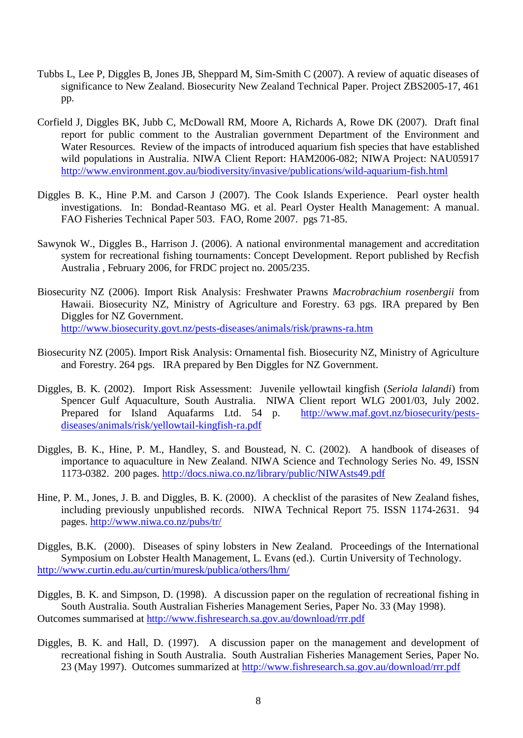- Tubbs L, Lee P, Diggles B, Jones JB, Sheppard M, Sim-Smith C (2007). A review of aquatic diseases of significance to New Zealand. Biosecurity New Zealand Technical Paper. Project ZBS2005-17, 461 pp.
- Corfield J, Diggles BK, Jubb C, McDowall RM, Moore A, Richards A, Rowe DK (2007). Draft final report for public comment to the Australian government Department of the Environment and Water Resources. Review of the impacts of introduced aquarium fish species that have established wild populations in Australia. NIWA Client Report: HAM2006-082; NIWA Project: NAU05917 <http://www.environment.gov.au/biodiversity/invasive/publications/wild-aquarium-fish.html>
- Diggles B. K., Hine P.M. and Carson J (2007). The Cook Islands Experience. Pearl oyster health investigations. In: Bondad-Reantaso MG. et al. Pearl Oyster Health Management: A manual. FAO Fisheries Technical Paper 503. FAO, Rome 2007. pgs 71-85.
- Sawynok W., Diggles B., Harrison J. (2006). A national environmental management and accreditation system for recreational fishing tournaments: Concept Development. Report published by Recfish Australia , February 2006, for FRDC project no. 2005/235.
- Biosecurity NZ (2006). Import Risk Analysis: Freshwater Prawns *Macrobrachium rosenbergii* from Hawaii. Biosecurity NZ, Ministry of Agriculture and Forestry. 63 pgs. IRA prepared by Ben Diggles for NZ Government. <http://www.biosecurity.govt.nz/pests-diseases/animals/risk/prawns-ra.htm>
- Biosecurity NZ (2005). Import Risk Analysis: Ornamental fish. Biosecurity NZ, Ministry of Agriculture and Forestry. 264 pgs. IRA prepared by Ben Diggles for NZ Government.
- Diggles, B. K. (2002). Import Risk Assessment: Juvenile yellowtail kingfish (*Seriola lalandi*) from Spencer Gulf Aquaculture, South Australia. NIWA Client report WLG 2001/03, July 2002. Prepared for Island Aquafarms Ltd. 54 p. [http://www.maf.govt.nz/biosecurity/pests](http://www.maf.govt.nz/biosecurity/pests-diseases/animals/risk/yellowtail-kingfish-ra.pdf)[diseases/animals/risk/yellowtail-kingfish-ra.pdf](http://www.maf.govt.nz/biosecurity/pests-diseases/animals/risk/yellowtail-kingfish-ra.pdf)
- Diggles, B. K., Hine, P. M., Handley, S. and Boustead, N. C. (2002). A handbook of diseases of importance to aquaculture in New Zealand. NIWA Science and Technology Series No. 49, ISSN 1173-0382. 200 pages.<http://docs.niwa.co.nz/library/public/NIWAsts49.pdf>
- Hine, P. M., Jones, J. B. and Diggles, B. K. (2000). A checklist of the parasites of New Zealand fishes, including previously unpublished records. NIWA Technical Report 75. ISSN 1174-2631. 94 pages.<http://www.niwa.co.nz/pubs/tr/>

Diggles, B.K. (2000). Diseases of spiny lobsters in New Zealand. Proceedings of the International Symposium on Lobster Health Management, L. Evans (ed.). Curtin University of Technology. <http://www.curtin.edu.au/curtin/muresk/publica/others/lhm/>

- Diggles, B. K. and Simpson, D. (1998). A discussion paper on the regulation of recreational fishing in South Australia. South Australian Fisheries Management Series, Paper No. 33 (May 1998). Outcomes summarised at<http://www.fishresearch.sa.gov.au/download/rrr.pdf>
- Diggles, B. K. and Hall, D. (1997). A discussion paper on the management and development of recreational fishing in South Australia. South Australian Fisheries Management Series, Paper No. 23 (May 1997). Outcomes summarized at<http://www.fishresearch.sa.gov.au/download/rrr.pdf>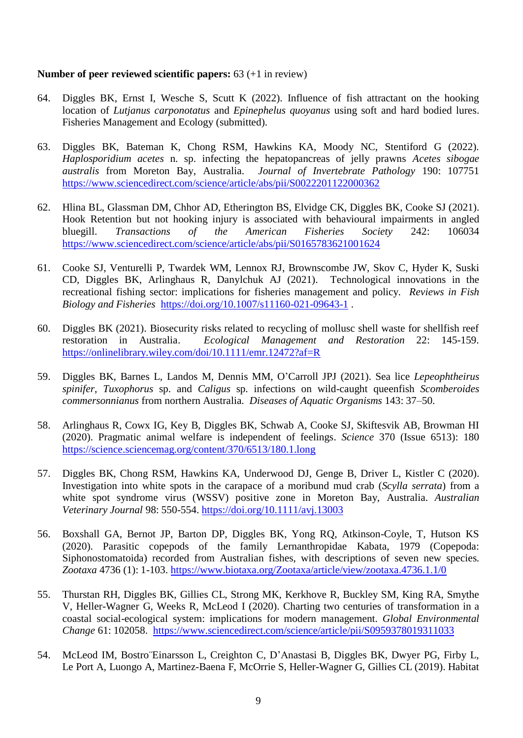## **Number of peer reviewed scientific papers:** 63 (+1 in review)

- 64. Diggles BK, Ernst I, Wesche S, Scutt K (2022). Influence of fish attractant on the hooking location of *Lutjanus carponotatus* and *Epinephelus quoyanus* using soft and hard bodied lures. Fisheries Management and Ecology (submitted).
- 63. Diggles BK, Bateman K, Chong RSM, Hawkins KA, Moody NC, Stentiford G (2022). *Haplosporidium acetes* n. sp. infecting the hepatopancreas of jelly prawns *Acetes sibogae australis* from Moreton Bay, Australia. *Journal of Invertebrate Pathology* 190: 107751 <https://www.sciencedirect.com/science/article/abs/pii/S0022201122000362>
- 62. Hlina BL, Glassman DM, Chhor AD, Etherington BS, Elvidge CK, Diggles BK, Cooke SJ (2021). Hook Retention but not hooking injury is associated with behavioural impairments in angled bluegill. *Transactions of the American Fisheries Society* 242: 106034 <https://www.sciencedirect.com/science/article/abs/pii/S0165783621001624>
- 61. Cooke SJ, Venturelli P, Twardek WM, Lennox RJ, Brownscombe JW, Skov C, Hyder K, Suski CD, Diggles BK, Arlinghaus R, Danylchuk AJ (2021). Technological innovations in the recreational fishing sector: implications for fisheries management and policy. *Reviews in Fish Biology and Fisheries* <https://doi.org/10.1007/s11160-021-09643-1> .
- 60. Diggles BK (2021). Biosecurity risks related to recycling of mollusc shell waste for shellfish reef restoration in Australia. *Ecological Management and Restoration* 22: 145-159. <https://onlinelibrary.wiley.com/doi/10.1111/emr.12472?af=R>
- 59. Diggles BK, Barnes L, Landos M, Dennis MM, O'Carroll JPJ (2021). Sea lice *Lepeophtheirus spinifer*, *Tuxophorus* sp. and *Caligus* sp. infections on wild-caught queenfish *Scomberoides commersonnianus* from northern Australia. *Diseases of Aquatic Organisms* 143: 37–50.
- 58. Arlinghaus R, Cowx IG, Key B, Diggles BK, Schwab A, Cooke SJ, Skiftesvik AB, Browman HI (2020). Pragmatic animal welfare is independent of feelings. *Science* 370 (Issue 6513): 180 <https://science.sciencemag.org/content/370/6513/180.1.long>
- 57. Diggles BK, Chong RSM, Hawkins KA, Underwood DJ, Genge B, Driver L, Kistler C (2020). Investigation into white spots in the carapace of a moribund mud crab (*Scylla serrata*) from a white spot syndrome virus (WSSV) positive zone in Moreton Bay, Australia. *Australian Veterinary Journal* 98: 550-554.<https://doi.org/10.1111/avj.13003>
- 56. Boxshall GA, Bernot JP, Barton DP, Diggles BK, Yong RQ, Atkinson-Coyle, T, Hutson KS (2020). Parasitic copepods of the family Lernanthropidae Kabata, 1979 (Copepoda: Siphonostomatoida) recorded from Australian fishes, with descriptions of seven new species. *Zootaxa* 4736 (1): 1-103. <https://www.biotaxa.org/Zootaxa/article/view/zootaxa.4736.1.1/0>
- 55. Thurstan RH, Diggles BK, Gillies CL, Strong MK, Kerkhove R, Buckley SM, King RA, Smythe V, Heller-Wagner G, Weeks R, McLeod I (2020). Charting two centuries of transformation in a coastal social-ecological system: implications for modern management. *Global Environmental Change* 61: 102058. <https://www.sciencedirect.com/science/article/pii/S0959378019311033>
- 54. McLeod IM, Bostro¨Einarsson L, Creighton C, D'Anastasi B, Diggles BK, Dwyer PG, Firby L, Le Port A, Luongo A, Martinez-Baena F, McOrrie S, Heller-Wagner G, Gillies CL (2019). Habitat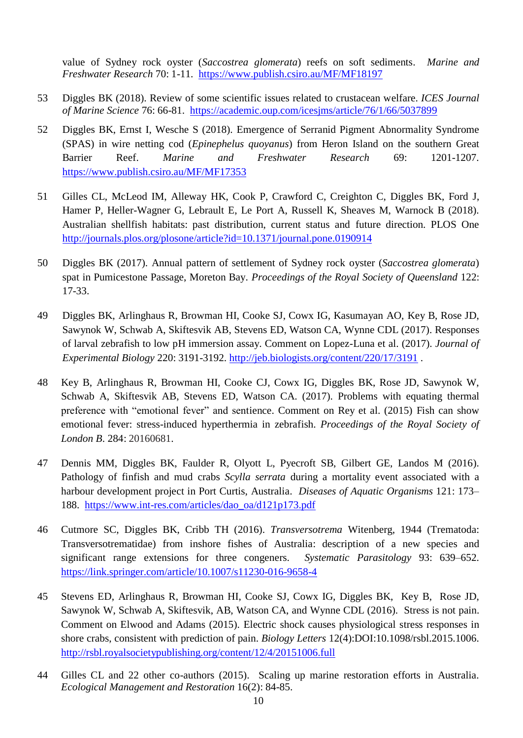value of Sydney rock oyster (*Saccostrea glomerata*) reefs on soft sediments. *Marine and Freshwater Research* 70: 1-11. <https://www.publish.csiro.au/MF/MF18197>

- 53 Diggles BK (2018). Review of some scientific issues related to crustacean welfare. *ICES Journal of Marine Science* 76: 66-81. <https://academic.oup.com/icesjms/article/76/1/66/5037899>
- 52 Diggles BK, Ernst I, Wesche S (2018). Emergence of Serranid Pigment Abnormality Syndrome (SPAS) in wire netting cod (*Epinephelus quoyanus*) from Heron Island on the southern Great Barrier Reef. *Marine and Freshwater Research* 69: 1201-1207. <https://www.publish.csiro.au/MF/MF17353>
- 51 Gilles CL, McLeod IM, Alleway HK, Cook P, Crawford C, Creighton C, Diggles BK, Ford J, Hamer P, Heller-Wagner G, Lebrault E, Le Port A, Russell K, Sheaves M, Warnock B (2018). Australian shellfish habitats: past distribution, current status and future direction. PLOS One <http://journals.plos.org/plosone/article?id=10.1371/journal.pone.0190914>
- 50 Diggles BK (2017). Annual pattern of settlement of Sydney rock oyster (*Saccostrea glomerata*) spat in Pumicestone Passage, Moreton Bay. *Proceedings of the Royal Society of Queensland* 122: 17-33.
- 49 Diggles BK, Arlinghaus R, Browman HI, Cooke SJ, Cowx IG, Kasumayan AO, Key B, Rose JD, Sawynok W, Schwab A, Skiftesvik AB, Stevens ED, Watson CA, Wynne CDL (2017). Responses of larval zebrafish to low pH immersion assay. Comment on Lopez-Luna et al. (2017). *Journal of Experimental Biology* 220: 3191-3192. <http://jeb.biologists.org/content/220/17/3191> .
- 48 Key B, Arlinghaus R, Browman HI, Cooke CJ, Cowx IG, Diggles BK, Rose JD, Sawynok W, Schwab A, Skiftesvik AB, Stevens ED, Watson CA. (2017). Problems with equating thermal preference with "emotional fever" and sentience. Comment on Rey et al. (2015) Fish can show emotional fever: stress-induced hyperthermia in zebrafish. *Proceedings of the Royal Society of London B*. 284: 20160681.
- 47 Dennis MM, Diggles BK, Faulder R, Olyott L, Pyecroft SB, Gilbert GE, Landos M (2016). Pathology of finfish and mud crabs *Scylla serrata* during a mortality event associated with a harbour development project in Port Curtis, Australia. *Diseases of Aquatic Organisms* 121: 173– 188. [https://www.int-res.com/articles/dao\\_oa/d121p173.pdf](https://www.int-res.com/articles/dao_oa/d121p173.pdf)
- 46 Cutmore SC, Diggles BK, Cribb TH (2016). *Transversotrema* Witenberg, 1944 (Trematoda: Transversotrematidae) from inshore fishes of Australia: description of a new species and significant range extensions for three congeners. *Systematic Parasitology* 93: 639–652. <https://link.springer.com/article/10.1007/s11230-016-9658-4>
- 45 Stevens ED, Arlinghaus R, Browman HI, Cooke SJ, Cowx IG, Diggles BK, Key B, Rose JD, Sawynok W, Schwab A, Skiftesvik, AB, Watson CA, and Wynne CDL (2016). Stress is not pain. Comment on Elwood and Adams (2015). Electric shock causes physiological stress responses in shore crabs, consistent with prediction of pain. *Biology Letters* 12(4):DOI:10.1098/rsbl.2015.1006. <http://rsbl.royalsocietypublishing.org/content/12/4/20151006.full>
- 44 Gilles CL and 22 other co-authors (2015). Scaling up marine restoration efforts in Australia. *Ecological Management and Restoration* 16(2): 84-85.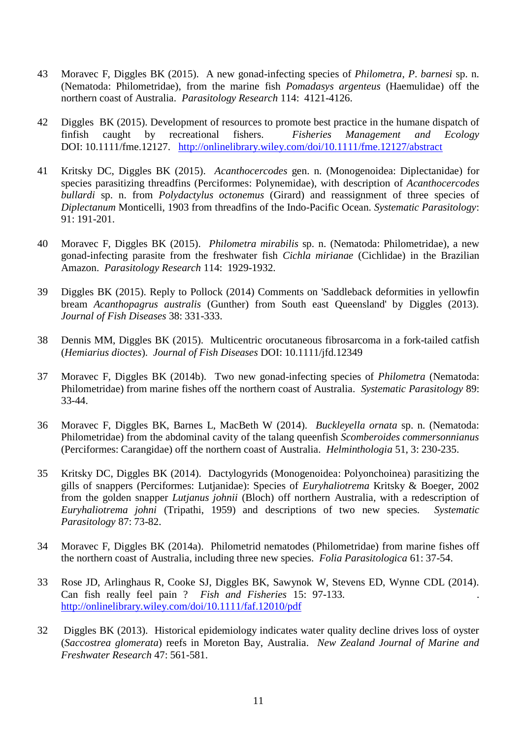- 43 Moravec F, Diggles BK (2015). A new gonad-infecting species of *Philometra*, *P*. *barnesi* sp. n. (Nematoda: Philometridae), from the marine fish *Pomadasys argenteus* (Haemulidae) off the northern coast of Australia. *Parasitology Research* 114: 4121-4126.
- 42 Diggles BK (2015). Development of resources to promote best practice in the humane dispatch of finfish caught by recreational fishers. *Fisheries Management and Ecology* DOI: 10.1111/fme.12127. <http://onlinelibrary.wiley.com/doi/10.1111/fme.12127/abstract>
- 41 Kritsky DC, Diggles BK (2015). *Acanthocercodes* gen. n. (Monogenoidea: Diplectanidae) for species parasitizing threadfins (Perciformes: Polynemidae), with description of *Acanthocercodes bullardi* sp. n. from *Polydactylus octonemus* (Girard) and reassignment of three species of *Diplectanum* Monticelli, 1903 from threadfins of the Indo-Pacific Ocean. *Systematic Parasitology*: 91: 191-201.
- 40 Moravec F, Diggles BK (2015). *Philometra mirabilis* sp. n. (Nematoda: Philometridae), a new gonad-infecting parasite from the freshwater fish *Cichla mirianae* (Cichlidae) in the Brazilian Amazon. *Parasitology Research* 114: 1929-1932.
- 39 Diggles BK (2015). Reply to Pollock (2014) Comments on 'Saddleback deformities in yellowfin bream *Acanthopagrus australis* (Gunther) from South east Queensland' by Diggles (2013). *Journal of Fish Diseases* 38: 331-333.
- 38 Dennis MM, Diggles BK (2015). Multicentric orocutaneous fibrosarcoma in a fork-tailed catfish (*Hemiarius dioctes*). *Journal of Fish Diseases* DOI: 10.1111/jfd.12349
- 37 Moravec F, Diggles BK (2014b). Two new gonad-infecting species of *Philometra* (Nematoda: Philometridae) from marine fishes off the northern coast of Australia. *Systematic Parasitology* 89: 33-44.
- 36 Moravec F, Diggles BK, Barnes L, MacBeth W (2014). *Buckleyella ornata* sp. n. (Nematoda: Philometridae) from the abdominal cavity of the talang queenfish *Scomberoides commersonnianus* (Perciformes: Carangidae) off the northern coast of Australia. *Helminthologia* 51, 3: 230-235.
- 35 Kritsky DC, Diggles BK (2014). Dactylogyrids (Monogenoidea: Polyonchoinea) parasitizing the gills of snappers (Perciformes: Lutjanidae): Species of *Euryhaliotrema* Kritsky & Boeger, 2002 from the golden snapper *Lutjanus johnii* (Bloch) off northern Australia, with a redescription of *Euryhaliotrema johni* (Tripathi, 1959) and descriptions of two new species. *Systematic Parasitology* 87: 73-82.
- 34 Moravec F, Diggles BK (2014a). Philometrid nematodes (Philometridae) from marine fishes off the northern coast of Australia, including three new species. *Folia Parasitologica* 61: 37-54.
- 33 Rose JD, Arlinghaus R, Cooke SJ, Diggles BK, Sawynok W, Stevens ED, Wynne CDL (2014). Can fish really feel pain ? *Fish and Fisheries* 15: 97-133. . <http://onlinelibrary.wiley.com/doi/10.1111/faf.12010/pdf>
- 32 Diggles BK (2013). Historical epidemiology indicates water quality decline drives loss of oyster (*Saccostrea glomerata*) reefs in Moreton Bay, Australia. *New Zealand Journal of Marine and Freshwater Research* 47: 561-581.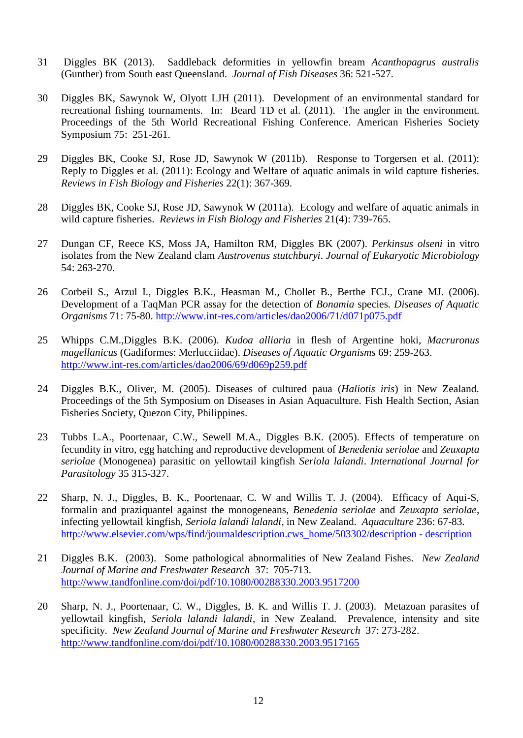- 31 Diggles BK (2013). Saddleback deformities in yellowfin bream *Acanthopagrus australis* (Gunther) from South east Queensland. *Journal of Fish Diseases* 36: 521-527.
- 30 Diggles BK, Sawynok W, Olyott LJH (2011). Development of an environmental standard for recreational fishing tournaments. In: Beard TD et al. (2011). The angler in the environment. Proceedings of the 5th World Recreational Fishing Conference. American Fisheries Society Symposium 75: 251-261.
- 29 Diggles BK, Cooke SJ, Rose JD, Sawynok W (2011b). Response to Torgersen et al. (2011): Reply to Diggles et al. (2011): Ecology and Welfare of aquatic animals in wild capture fisheries. *Reviews in Fish Biology and Fisheries* 22(1): 367-369.
- 28 Diggles BK, Cooke SJ, Rose JD, Sawynok W (2011a). Ecology and welfare of aquatic animals in wild capture fisheries. *Reviews in Fish Biology and Fisheries* 21(4): 739-765.
- 27 Dungan CF, Reece KS, Moss JA, Hamilton RM, Diggles BK (2007). *Perkinsus olseni* in vitro isolates from the New Zealand clam *Austrovenus stutchburyi*. *Journal of Eukaryotic Microbiology* 54: 263-270.
- 26 Corbeil S., Arzul I., Diggles B.K., Heasman M., Chollet B., Berthe FCJ., Crane MJ. (2006). Development of a TaqMan PCR assay for the detection of *Bonamia* species. *Diseases of Aquatic Organisms* 71: 75-80. <http://www.int-res.com/articles/dao2006/71/d071p075.pdf>
- 25 Whipps C.M.,Diggles B.K. (2006). *Kudoa alliaria* in flesh of Argentine hoki, *Macruronus magellanicus* (Gadiformes: Merlucciidae). *Diseases of Aquatic Organisms* 69: 259-263. <http://www.int-res.com/articles/dao2006/69/d069p259.pdf>
- 24 Diggles B.K., Oliver, M. (2005). Diseases of cultured paua (*Haliotis iris*) in New Zealand. Proceedings of the 5th Symposium on Diseases in Asian Aquaculture. Fish Health Section, Asian Fisheries Society, Quezon City, Philippines.
- 23 Tubbs L.A., Poortenaar, C.W., Sewell M.A., Diggles B.K. (2005). Effects of temperature on fecundity in vitro, egg hatching and reproductive development of *Benedenia seriolae* and *Zeuxapta seriolae* (Monogenea) parasitic on yellowtail kingfish *Seriola lalandi*. *International Journal for Parasitology* 35 315-327.
- 22 Sharp, N. J., Diggles, B. K., Poortenaar, C. W and Willis T. J. (2004). Efficacy of Aqui-S, formalin and praziquantel against the monogeneans, *Benedenia seriolae* and *Zeuxapta seriolae*, infecting yellowtail kingfish, *Seriola lalandi lalandi*, in New Zealand. *Aquaculture* 236: 67-83. [http://www.elsevier.com/wps/find/journaldescription.cws\\_home/503302/description -](http://www.elsevier.com/wps/find/journaldescription.cws_home/503302/description#description) description
- 21 Diggles B.K. (2003). Some pathological abnormalities of New Zealand Fishes. *New Zealand Journal of Marine and Freshwater Research* 37: 705-713. <http://www.tandfonline.com/doi/pdf/10.1080/00288330.2003.9517200>
- 20 Sharp, N. J., Poortenaar, C. W., Diggles, B. K. and Willis T. J. (2003). Metazoan parasites of yellowtail kingfish, *Seriola lalandi lalandi*, in New Zealand. Prevalence, intensity and site specificity. *New Zealand Journal of Marine and Freshwater Research* 37: 273-282. <http://www.tandfonline.com/doi/pdf/10.1080/00288330.2003.9517165>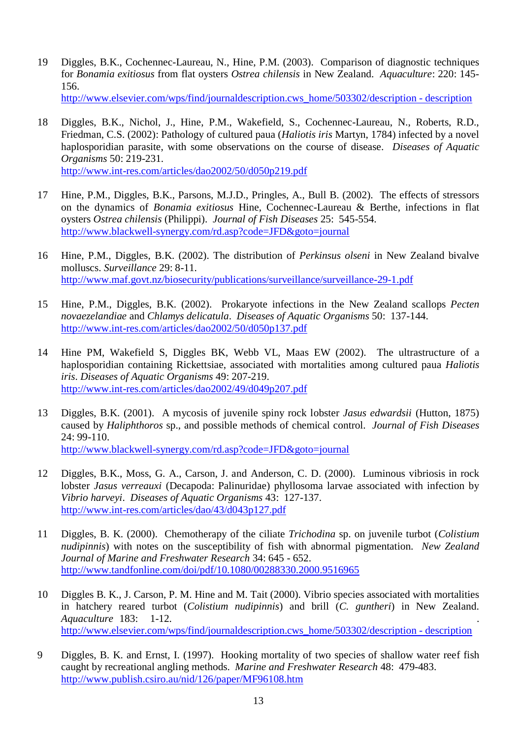19 Diggles, B.K., Cochennec-Laureau, N., Hine, P.M. (2003). Comparison of diagnostic techniques for *Bonamia exitiosus* from flat oysters *Ostrea chilensis* in New Zealand. *Aquaculture*: 220: 145- 156.

[http://www.elsevier.com/wps/find/journaldescription.cws\\_home/503302/description -](http://www.elsevier.com/wps/find/journaldescription.cws_home/503302/description#description) description

- 18 Diggles, B.K., Nichol, J., Hine, P.M., Wakefield, S., Cochennec-Laureau, N., Roberts, R.D., Friedman, C.S. (2002): Pathology of cultured paua (*Haliotis iris* Martyn, 1784) infected by a novel haplosporidian parasite, with some observations on the course of disease. *Diseases of Aquatic Organisms* 50: 219-231. <http://www.int-res.com/articles/dao2002/50/d050p219.pdf>
- 17 Hine, P.M., Diggles, B.K., Parsons, M.J.D., Pringles, A., Bull B. (2002). The effects of stressors on the dynamics of *Bonamia exitiosus* Hine, Cochennec-Laureau & Berthe, infections in flat oysters *Ostrea chilensis* (Philippi). *Journal of Fish Diseases* 25: 545-554. <http://www.blackwell-synergy.com/rd.asp?code=JFD&goto=journal>
- 16 Hine, P.M., Diggles, B.K. (2002). The distribution of *Perkinsus olseni* in New Zealand bivalve molluscs. *Surveillance* 29: 8-11. <http://www.maf.govt.nz/biosecurity/publications/surveillance/surveillance-29-1.pdf>
- 15 Hine, P.M., Diggles, B.K. (2002). Prokaryote infections in the New Zealand scallops *Pecten novaezelandiae* and *Chlamys delicatula*. *Diseases of Aquatic Organisms* 50: 137-144. <http://www.int-res.com/articles/dao2002/50/d050p137.pdf>
- 14 Hine PM, Wakefield S, Diggles BK, Webb VL, Maas EW (2002). The ultrastructure of a haplosporidian containing Rickettsiae, associated with mortalities among cultured paua *Haliotis iris*. *Diseases of Aquatic Organisms* 49: 207-219. <http://www.int-res.com/articles/dao2002/49/d049p207.pdf>
- 13 Diggles, B.K. (2001). A mycosis of juvenile spiny rock lobster *Jasus edwardsii* (Hutton, 1875) caused by *Haliphthoros* sp., and possible methods of chemical control. *Journal of Fish Diseases* 24: 99-110.

<http://www.blackwell-synergy.com/rd.asp?code=JFD&goto=journal>

- 12 Diggles, B.K., Moss, G. A., Carson, J. and Anderson, C. D. (2000). Luminous vibriosis in rock lobster *Jasus verreauxi* (Decapoda: Palinuridae) phyllosoma larvae associated with infection by *Vibrio harveyi*. *Diseases of Aquatic Organisms* 43: 127-137. <http://www.int-res.com/articles/dao/43/d043p127.pdf>
- 11 Diggles, B. K. (2000). Chemotherapy of the ciliate *Trichodina* sp. on juvenile turbot (*Colistium nudipinnis*) with notes on the susceptibility of fish with abnormal pigmentation. *New Zealand Journal of Marine and Freshwater Research* 34: 645 - 652. <http://www.tandfonline.com/doi/pdf/10.1080/00288330.2000.9516965>
- 10 Diggles B. K., J. Carson, P. M. Hine and M. Tait (2000). Vibrio species associated with mortalities in hatchery reared turbot (*Colistium nudipinnis*) and brill (*C. guntheri*) in New Zealand. *Aquaculture* 183: 1-12. . [http://www.elsevier.com/wps/find/journaldescription.cws\\_home/503302/description -](http://www.elsevier.com/wps/find/journaldescription.cws_home/503302/description#description) description
- 9 Diggles, B. K. and Ernst, I. (1997). Hooking mortality of two species of shallow water reef fish caught by recreational angling methods. *Marine and Freshwater Research* 48: 479-483. <http://www.publish.csiro.au/nid/126/paper/MF96108.htm>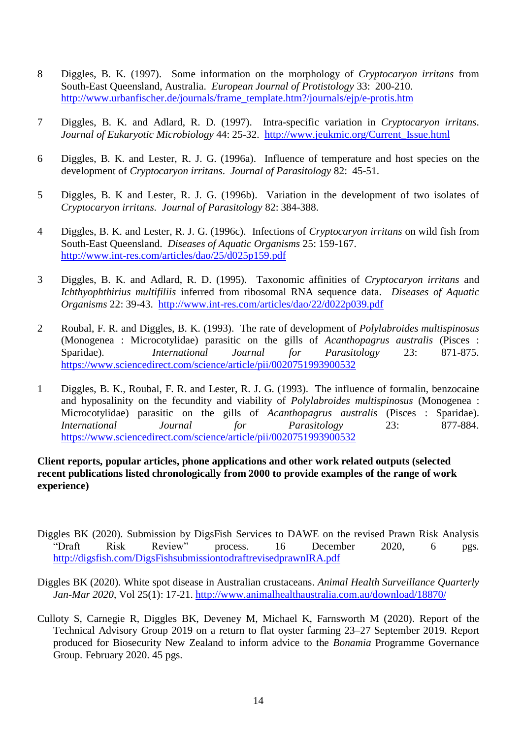- 8 Diggles, B. K. (1997). Some information on the morphology of *Cryptocaryon irritans* from South-East Queensland, Australia. *European Journal of Protistology* 33: 200-210. [http://www.urbanfischer.de/journals/frame\\_template.htm?/journals/ejp/e-protis.htm](http://www.urbanfischer.de/journals/frame_template.htm?/journals/ejp/e-protis.htm)
- 7 Diggles, B. K. and Adlard, R. D. (1997). Intra-specific variation in *Cryptocaryon irritans*. *Journal of Eukaryotic Microbiology* 44: 25-32. [http://www.jeukmic.org/Current\\_Issue.html](http://www.jeukmic.org/Current_Issue.html)
- 6 Diggles, B. K. and Lester, R. J. G. (1996a). Influence of temperature and host species on the development of *Cryptocaryon irritans*. *Journal of Parasitology* 82: 45-51.
- 5 Diggles, B. K and Lester, R. J. G. (1996b). Variation in the development of two isolates of *Cryptocaryon irritans*. *Journal of Parasitology* 82: 384-388.
- 4 Diggles, B. K. and Lester, R. J. G. (1996c). Infections of *Cryptocaryon irritans* on wild fish from South-East Queensland. *Diseases of Aquatic Organisms* 25: 159-167. <http://www.int-res.com/articles/dao/25/d025p159.pdf>
- 3 Diggles, B. K. and Adlard, R. D. (1995). Taxonomic affinities of *Cryptocaryon irritans* and *Ichthyophthirius multifiliis* inferred from ribosomal RNA sequence data. *Diseases of Aquatic Organisms* 22: 39-43. <http://www.int-res.com/articles/dao/22/d022p039.pdf>
- 2 Roubal, F. R. and Diggles, B. K. (1993). The rate of development of *Polylabroides multispinosus* (Monogenea : Microcotylidae) parasitic on the gills of *Acanthopagrus australis* (Pisces : Sparidae). *International Journal for Parasitology* 23: 871-875. <https://www.sciencedirect.com/science/article/pii/0020751993900532>
- 1 Diggles, B. K., Roubal, F. R. and Lester, R. J. G. (1993). The influence of formalin, benzocaine and hyposalinity on the fecundity and viability of *Polylabroides multispinosus* (Monogenea : Microcotylidae) parasitic on the gills of *Acanthopagrus australis* (Pisces : Sparidae). *International Journal for Parasitology* 23: 877-884. <https://www.sciencedirect.com/science/article/pii/0020751993900532>

## **Client reports, popular articles, phone applications and other work related outputs (selected recent publications listed chronologically from 2000 to provide examples of the range of work experience)**

- Diggles BK (2020). Submission by DigsFish Services to DAWE on the revised Prawn Risk Analysis "Draft Risk Review" process. 16 December 2020, 6 pgs. <http://digsfish.com/DigsFishsubmissiontodraftrevisedprawnIRA.pdf>
- Diggles BK (2020). White spot disease in Australian crustaceans. *Animal Health Surveillance Quarterly Jan-Mar 2020*, Vol 25(1): 17-21. <http://www.animalhealthaustralia.com.au/download/18870/>
- Culloty S, Carnegie R, Diggles BK, Deveney M, Michael K, Farnsworth M (2020). Report of the Technical Advisory Group 2019 on a return to flat oyster farming 23–27 September 2019. Report produced for Biosecurity New Zealand to inform advice to the *Bonamia* Programme Governance Group. February 2020. 45 pgs.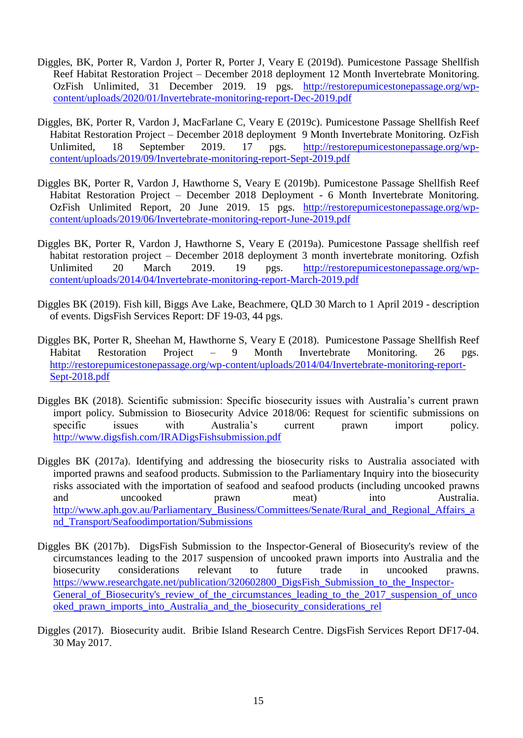- Diggles, BK, Porter R, Vardon J, Porter R, Porter J, Veary E (2019d). Pumicestone Passage Shellfish Reef Habitat Restoration Project – December 2018 deployment 12 Month Invertebrate Monitoring. OzFish Unlimited, 31 December 2019. 19 pgs. [http://restorepumicestonepassage.org/wp](http://restorepumicestonepassage.org/wp-content/uploads/2020/01/Invertebrate-monitoring-report-Dec-2019.pdf)[content/uploads/2020/01/Invertebrate-monitoring-report-Dec-2019.pdf](http://restorepumicestonepassage.org/wp-content/uploads/2020/01/Invertebrate-monitoring-report-Dec-2019.pdf)
- Diggles, BK, Porter R, Vardon J, MacFarlane C, Veary E (2019c). Pumicestone Passage Shellfish Reef Habitat Restoration Project – December 2018 deployment 9 Month Invertebrate Monitoring. OzFish Unlimited, 18 September 2019. 17 pgs. [http://restorepumicestonepassage.org/wp](http://restorepumicestonepassage.org/wp-content/uploads/2019/09/Invertebrate-monitoring-report-Sept-2019.pdf)[content/uploads/2019/09/Invertebrate-monitoring-report-Sept-2019.pdf](http://restorepumicestonepassage.org/wp-content/uploads/2019/09/Invertebrate-monitoring-report-Sept-2019.pdf)
- Diggles BK, Porter R, Vardon J, Hawthorne S, Veary E (2019b). Pumicestone Passage Shellfish Reef Habitat Restoration Project – December 2018 Deployment - 6 Month Invertebrate Monitoring. OzFish Unlimited Report, 20 June 2019. 15 pgs. [http://restorepumicestonepassage.org/wp](http://restorepumicestonepassage.org/wp-content/uploads/2019/06/Invertebrate-monitoring-report-June-2019.pdf)[content/uploads/2019/06/Invertebrate-monitoring-report-June-2019.pdf](http://restorepumicestonepassage.org/wp-content/uploads/2019/06/Invertebrate-monitoring-report-June-2019.pdf)
- Diggles BK, Porter R, Vardon J, Hawthorne S, Veary E (2019a). Pumicestone Passage shellfish reef habitat restoration project – December 2018 deployment 3 month invertebrate monitoring. Ozfish Unlimited 20 March 2019. 19 pgs. [http://restorepumicestonepassage.org/wp](http://restorepumicestonepassage.org/wp-content/uploads/2014/04/Invertebrate-monitoring-report-March-2019.pdf)[content/uploads/2014/04/Invertebrate-monitoring-report-March-2019.pdf](http://restorepumicestonepassage.org/wp-content/uploads/2014/04/Invertebrate-monitoring-report-March-2019.pdf)
- Diggles BK (2019). Fish kill, Biggs Ave Lake, Beachmere, QLD 30 March to 1 April 2019 description of events. DigsFish Services Report: DF 19-03, 44 pgs.
- Diggles BK, Porter R, Sheehan M, Hawthorne S, Veary E (2018). Pumicestone Passage Shellfish Reef Habitat Restoration Project – 9 Month Invertebrate Monitoring. 26 pgs. [http://restorepumicestonepassage.org/wp-content/uploads/2014/04/Invertebrate-monitoring-report-](http://restorepumicestonepassage.org/wp-content/uploads/2014/04/Invertebrate-monitoring-report-Sept-2018.pdf)[Sept-2018.pdf](http://restorepumicestonepassage.org/wp-content/uploads/2014/04/Invertebrate-monitoring-report-Sept-2018.pdf)
- Diggles BK (2018). Scientific submission: Specific biosecurity issues with Australia's current prawn import policy. Submission to Biosecurity Advice 2018/06: Request for scientific submissions on specific issues with Australia's current prawn import policy. <http://www.digsfish.com/IRADigsFishsubmission.pdf>
- Diggles BK (2017a). Identifying and addressing the biosecurity risks to Australia associated with imported prawns and seafood products. Submission to the Parliamentary Inquiry into the biosecurity risks associated with the importation of seafood and seafood products (including uncooked prawns and uncooked prawn meat) into Australia. [http://www.aph.gov.au/Parliamentary\\_Business/Committees/Senate/Rural\\_and\\_Regional\\_Affairs\\_a](http://www.aph.gov.au/Parliamentary_Business/Committees/Senate/Rural_and_Regional_Affairs_and_Transport/Seafoodimportation/Submissions) [nd\\_Transport/Seafoodimportation/Submissions](http://www.aph.gov.au/Parliamentary_Business/Committees/Senate/Rural_and_Regional_Affairs_and_Transport/Seafoodimportation/Submissions)
- Diggles BK (2017b). DigsFish Submission to the Inspector-General of Biosecurity's review of the circumstances leading to the 2017 suspension of uncooked prawn imports into Australia and the biosecurity considerations relevant to future trade in uncooked prawns. [https://www.researchgate.net/publication/320602800\\_DigsFish\\_Submission\\_to\\_the\\_Inspector-](https://www.researchgate.net/publication/320602800_DigsFish_Submission_to_the_Inspector-General_of_Biosecurity)General of Biosecurity's review of the circumstances leading to the 2017 suspension of unco [oked\\_prawn\\_imports\\_into\\_Australia\\_and\\_the\\_biosecurity\\_considerations\\_rel](https://www.researchgate.net/publication/320602800_DigsFish_Submission_to_the_Inspector-General_of_Biosecurity)
- Diggles (2017). Biosecurity audit. Bribie Island Research Centre. DigsFish Services Report DF17-04. 30 May 2017.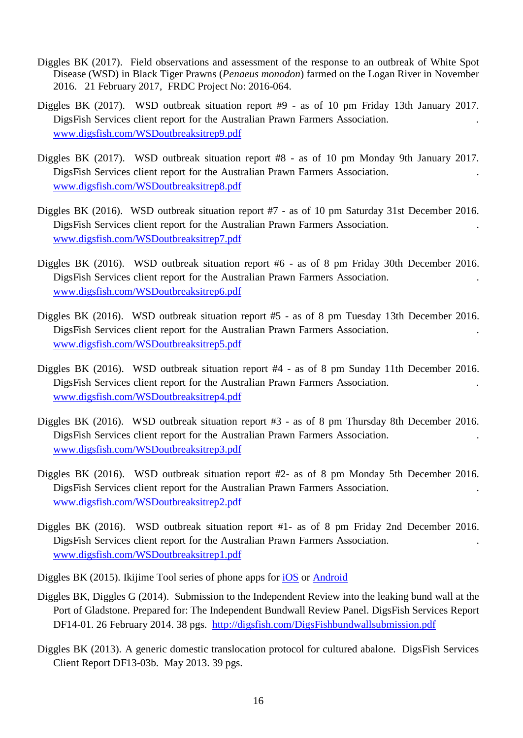- Diggles BK (2017). Field observations and assessment of the response to an outbreak of White Spot Disease (WSD) in Black Tiger Prawns (*Penaeus monodon*) farmed on the Logan River in November 2016. 21 February 2017, FRDC Project No: 2016-064.
- Diggles BK (2017). WSD outbreak situation report #9 as of 10 pm Friday 13th January 2017. DigsFish Services client report for the Australian Prawn Farmers Association. . [www.digsfish.com/WSDoutbreaksitrep9.pdf](http://www.digsfish.com/WSDoutbreaksitrep9.pdf)
- Diggles BK (2017). WSD outbreak situation report #8 as of 10 pm Monday 9th January 2017. DigsFish Services client report for the Australian Prawn Farmers Association. . [www.digsfish.com/WSDoutbreaksitrep8.pdf](http://www.digsfish.com/WSDoutbreaksitrep9.pdf)
- Diggles BK (2016). WSD outbreak situation report #7 as of 10 pm Saturday 31st December 2016. DigsFish Services client report for the Australian Prawn Farmers Association. . [www.digsfish.com/WSDoutbreaksitrep7.pdf](http://www.digsfish.com/WSDoutbreaksitrep9.pdf)
- Diggles BK (2016). WSD outbreak situation report #6 as of 8 pm Friday 30th December 2016. DigsFish Services client report for the Australian Prawn Farmers Association. . [www.digsfish.com/WSDoutbreaksitrep6.pdf](http://www.digsfish.com/WSDoutbreaksitrep6.pdf)
- Diggles BK (2016). WSD outbreak situation report #5 as of 8 pm Tuesday 13th December 2016. DigsFish Services client report for the Australian Prawn Farmers Association. . [www.digsfish.com/WSDoutbreaksitrep5.pdf](http://www.digsfish.com/WSDoutbreaksitrep9.pdf)
- Diggles BK (2016). WSD outbreak situation report #4 as of 8 pm Sunday 11th December 2016. DigsFish Services client report for the Australian Prawn Farmers Association. . [www.digsfish.com/WSDoutbreaksitrep4.pdf](http://www.digsfish.com/WSDoutbreaksitrep9.pdf)
- Diggles BK (2016). WSD outbreak situation report #3 as of 8 pm Thursday 8th December 2016. DigsFish Services client report for the Australian Prawn Farmers Association. . [www.digsfish.com/WSDoutbreaksitrep3.pdf](http://www.digsfish.com/WSDoutbreaksitrep9.pdf)
- Diggles BK (2016). WSD outbreak situation report #2- as of 8 pm Monday 5th December 2016. DigsFish Services client report for the Australian Prawn Farmers Association. . [www.digsfish.com/WSDoutbreaksitrep2.pdf](http://www.digsfish.com/WSDoutbreaksitrep9.pdf)
- Diggles BK (2016). WSD outbreak situation report #1- as of 8 pm Friday 2nd December 2016. DigsFish Services client report for the Australian Prawn Farmers Association. . [www.digsfish.com/WSDoutbreaksitrep1.pdf](http://www.digsfish.com/WSDoutbreaksitrep9.pdf)
- Diggles BK (2015). Ikijime Tool series of phone apps for [iOS](https://itunes.apple.com/au/developer/digsfish-services-pty-ltd/id704308197) or [Android](https://play.google.com/store/apps/developer?id=DigsFish+Services)
- Diggles BK, Diggles G (2014). Submission to the Independent Review into the leaking bund wall at the Port of Gladstone. Prepared for: The Independent Bundwall Review Panel. DigsFish Services Report DF14-01. 26 February 2014. 38 pgs. <http://digsfish.com/DigsFishbundwallsubmission.pdf>
- Diggles BK (2013). A generic domestic translocation protocol for cultured abalone. DigsFish Services Client Report DF13-03b. May 2013. 39 pgs.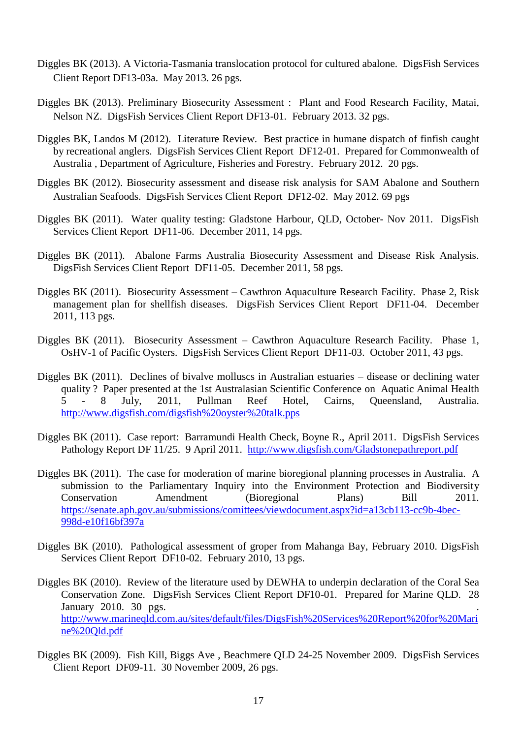- Diggles BK (2013). A Victoria-Tasmania translocation protocol for cultured abalone. DigsFish Services Client Report DF13-03a. May 2013. 26 pgs.
- Diggles BK (2013). Preliminary Biosecurity Assessment : Plant and Food Research Facility, Matai, Nelson NZ. DigsFish Services Client Report DF13-01. February 2013. 32 pgs.
- Diggles BK, Landos M (2012). Literature Review. Best practice in humane dispatch of finfish caught by recreational anglers. DigsFish Services Client Report DF12-01. Prepared for Commonwealth of Australia , Department of Agriculture, Fisheries and Forestry. February 2012. 20 pgs.
- Diggles BK (2012). Biosecurity assessment and disease risk analysis for SAM Abalone and Southern Australian Seafoods. DigsFish Services Client Report DF12-02. May 2012. 69 pgs
- Diggles BK (2011). Water quality testing: Gladstone Harbour, QLD, October- Nov 2011. DigsFish Services Client Report DF11-06. December 2011, 14 pgs.
- Diggles BK (2011). Abalone Farms Australia Biosecurity Assessment and Disease Risk Analysis. DigsFish Services Client Report DF11-05. December 2011, 58 pgs.
- Diggles BK (2011). Biosecurity Assessment Cawthron Aquaculture Research Facility. Phase 2, Risk management plan for shellfish diseases. DigsFish Services Client Report DF11-04. December 2011, 113 pgs.
- Diggles BK (2011). Biosecurity Assessment Cawthron Aquaculture Research Facility. Phase 1, OsHV-1 of Pacific Oysters. DigsFish Services Client Report DF11-03. October 2011, 43 pgs.
- Diggles BK (2011). Declines of bivalve molluscs in Australian estuaries disease or declining water quality ? Paper presented at the 1st Australasian Scientific Conference on Aquatic Animal Health 5 - 8 July, 2011, Pullman Reef Hotel, Cairns, Queensland, Australia. <http://www.digsfish.com/digsfish%20oyster%20talk.pps>
- Diggles BK (2011). Case report: Barramundi Health Check, Boyne R., April 2011. DigsFish Services Pathology Report DF 11/25. 9 April 2011. <http://www.digsfish.com/Gladstonepathreport.pdf>
- Diggles BK (2011). The case for moderation of marine bioregional planning processes in Australia. A submission to the Parliamentary Inquiry into the Environment Protection and Biodiversity Conservation Amendment (Bioregional Plans) Bill 2011. [https://senate.aph.gov.au/submissions/comittees/viewdocument.aspx?id=a13cb113-cc9b-4bec-](https://senate.aph.gov.au/submissions/comittees/viewdocument.aspx?id=a13cb113-cc9b-4bec-998d-e10f16bf397a)[998d-e10f16bf397a](https://senate.aph.gov.au/submissions/comittees/viewdocument.aspx?id=a13cb113-cc9b-4bec-998d-e10f16bf397a)
- Diggles BK (2010). Pathological assessment of groper from Mahanga Bay, February 2010. DigsFish Services Client Report DF10-02. February 2010, 13 pgs.
- Diggles BK (2010). Review of the literature used by DEWHA to underpin declaration of the Coral Sea Conservation Zone. DigsFish Services Client Report DF10-01. Prepared for Marine QLD. 28 January 2010. 30 pgs. . [http://www.marineqld.com.au/sites/default/files/DigsFish%20Services%20Report%20for%20Mari](http://www.marineqld.com.au/sites/default/files/DigsFish%20Services%20Report%20for%20Marine%20Qld.pdf) [ne%20Qld.pdf](http://www.marineqld.com.au/sites/default/files/DigsFish%20Services%20Report%20for%20Marine%20Qld.pdf)
- Diggles BK (2009). Fish Kill, Biggs Ave , Beachmere QLD 24-25 November 2009. DigsFish Services Client Report DF09-11. 30 November 2009, 26 pgs.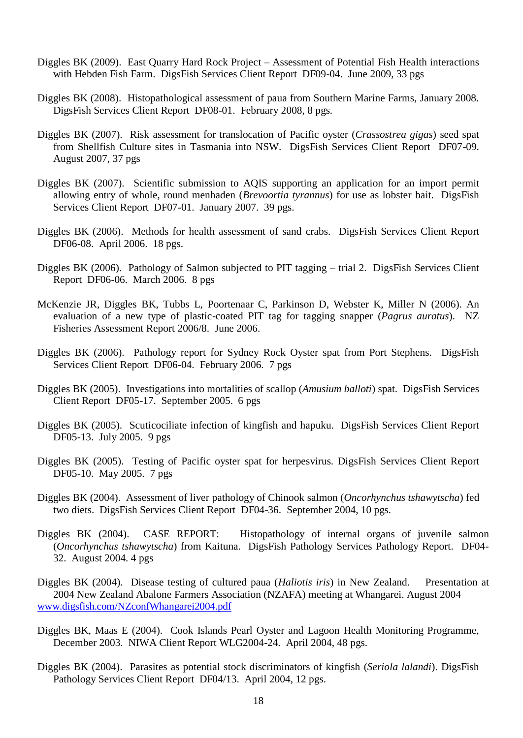- Diggles BK (2009). East Quarry Hard Rock Project Assessment of Potential Fish Health interactions with Hebden Fish Farm. DigsFish Services Client Report DF09-04. June 2009, 33 pgs
- Diggles BK (2008). Histopathological assessment of paua from Southern Marine Farms, January 2008. DigsFish Services Client Report DF08-01. February 2008, 8 pgs.
- Diggles BK (2007). Risk assessment for translocation of Pacific oyster (*Crassostrea gigas*) seed spat from Shellfish Culture sites in Tasmania into NSW. DigsFish Services Client Report DF07-09. August 2007, 37 pgs
- Diggles BK (2007). Scientific submission to AQIS supporting an application for an import permit allowing entry of whole, round menhaden (*Brevoortia tyrannus*) for use as lobster bait. DigsFish Services Client Report DF07-01. January 2007. 39 pgs.
- Diggles BK (2006). Methods for health assessment of sand crabs.DigsFish Services Client Report DF06-08. April 2006. 18 pgs.
- Diggles BK (2006). Pathology of Salmon subjected to PIT tagging trial 2. DigsFish Services Client Report DF06-06. March 2006. 8 pgs
- McKenzie JR, Diggles BK, Tubbs L, Poortenaar C, Parkinson D, Webster K, Miller N (2006). An evaluation of a new type of plastic-coated PIT tag for tagging snapper (*Pagrus auratus*). NZ Fisheries Assessment Report 2006/8. June 2006.
- Diggles BK (2006). Pathology report for Sydney Rock Oyster spat from Port Stephens. DigsFish Services Client Report DF06-04. February 2006. 7 pgs
- Diggles BK (2005). Investigations into mortalities of scallop (*Amusium balloti*) spat. DigsFish Services Client Report DF05-17. September 2005. 6 pgs
- Diggles BK (2005). Scuticociliate infection of kingfish and hapuku. DigsFish Services Client Report DF05-13. July 2005. 9 pgs
- Diggles BK (2005). Testing of Pacific oyster spat for herpesvirus. DigsFish Services Client Report DF05-10. May 2005. 7 pgs
- Diggles BK (2004). Assessment of liver pathology of Chinook salmon (*Oncorhynchus tshawytscha*) fed two diets. DigsFish Services Client Report DF04-36. September 2004, 10 pgs.
- Diggles BK (2004). CASE REPORT: Histopathology of internal organs of juvenile salmon (*Oncorhynchus tshawytscha*) from Kaituna. DigsFish Pathology Services Pathology Report. DF04- 32. August 2004. 4 pgs
- Diggles BK (2004). Disease testing of cultured paua (*Haliotis iris*) in New Zealand. Presentation at 2004 New Zealand Abalone Farmers Association (NZAFA) meeting at Whangarei. August 2004 [www.digsfish.com/NZconfWhangarei2004.pdf](http://www.digsfish.com/NZconfWhangerei2004.pdf)
- Diggles BK, Maas E (2004). Cook Islands Pearl Oyster and Lagoon Health Monitoring Programme, December 2003. NIWA Client Report WLG2004-24. April 2004, 48 pgs.
- Diggles BK (2004). Parasites as potential stock discriminators of kingfish (*Seriola lalandi*). DigsFish Pathology Services Client Report DF04/13. April 2004, 12 pgs.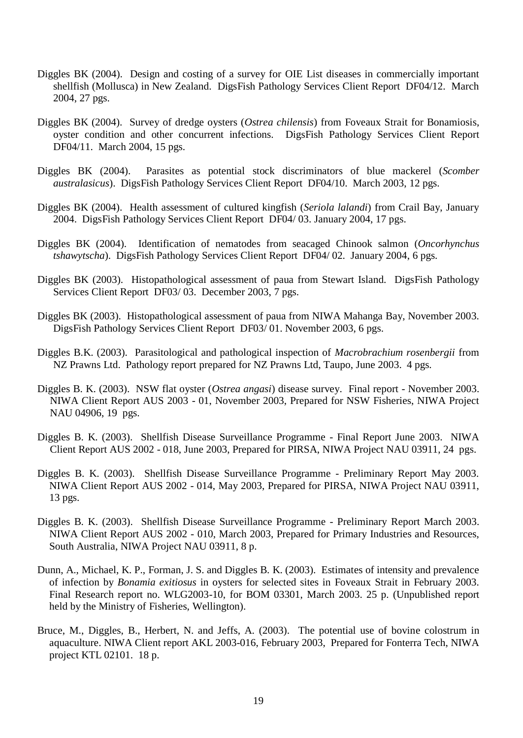- Diggles BK (2004). Design and costing of a survey for OIE List diseases in commercially important shellfish (Mollusca) in New Zealand. DigsFish Pathology Services Client Report DF04/12. March 2004, 27 pgs.
- Diggles BK (2004). Survey of dredge oysters (*Ostrea chilensis*) from Foveaux Strait for Bonamiosis, oyster condition and other concurrent infections. DigsFish Pathology Services Client Report DF04/11. March 2004, 15 pgs.
- Diggles BK (2004). Parasites as potential stock discriminators of blue mackerel (*Scomber australasicus*). DigsFish Pathology Services Client Report DF04/10. March 2003, 12 pgs.
- Diggles BK (2004). Health assessment of cultured kingfish (*Seriola lalandi*) from Crail Bay, January 2004. DigsFish Pathology Services Client Report DF04/ 03. January 2004, 17 pgs.
- Diggles BK (2004). Identification of nematodes from seacaged Chinook salmon (*Oncorhynchus tshawytscha*). DigsFish Pathology Services Client Report DF04/ 02. January 2004, 6 pgs.
- Diggles BK (2003). Histopathological assessment of paua from Stewart Island. DigsFish Pathology Services Client Report DF03/ 03. December 2003, 7 pgs.
- Diggles BK (2003). Histopathological assessment of paua from NIWA Mahanga Bay, November 2003. DigsFish Pathology Services Client Report DF03/ 01. November 2003, 6 pgs.
- Diggles B.K. (2003). Parasitological and pathological inspection of *Macrobrachium rosenbergii* from NZ Prawns Ltd. Pathology report prepared for NZ Prawns Ltd, Taupo, June 2003. 4 pgs.
- Diggles B. K. (2003). NSW flat oyster (*Ostrea angasi*) disease survey. Final report November 2003. NIWA Client Report AUS 2003 - 01, November 2003, Prepared for NSW Fisheries, NIWA Project NAU 04906, 19 pgs.
- Diggles B. K. (2003). Shellfish Disease Surveillance Programme Final Report June 2003. NIWA Client Report AUS 2002 - 018, June 2003, Prepared for PIRSA, NIWA Project NAU 03911, 24 pgs.
- Diggles B. K. (2003). Shellfish Disease Surveillance Programme Preliminary Report May 2003. NIWA Client Report AUS 2002 - 014, May 2003, Prepared for PIRSA, NIWA Project NAU 03911, 13 pgs.
- Diggles B. K. (2003). Shellfish Disease Surveillance Programme Preliminary Report March 2003. NIWA Client Report AUS 2002 - 010, March 2003, Prepared for Primary Industries and Resources, South Australia, NIWA Project NAU 03911, 8 p.
- Dunn, A., Michael, K. P., Forman, J. S. and Diggles B. K. (2003). Estimates of intensity and prevalence of infection by *Bonamia exitiosus* in oysters for selected sites in Foveaux Strait in February 2003. Final Research report no. WLG2003-10, for BOM 03301, March 2003. 25 p. (Unpublished report held by the Ministry of Fisheries, Wellington).
- Bruce, M., Diggles, B., Herbert, N. and Jeffs, A. (2003). The potential use of bovine colostrum in aquaculture. NIWA Client report AKL 2003-016, February 2003, Prepared for Fonterra Tech, NIWA project KTL 02101. 18 p.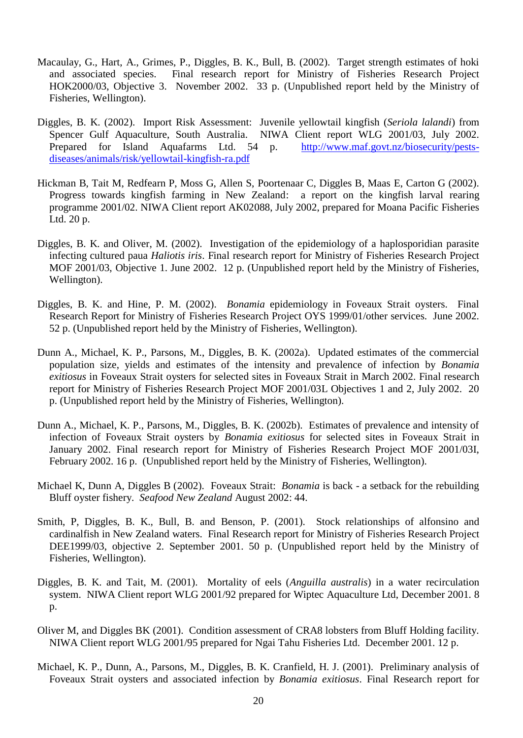- Macaulay, G., Hart, A., Grimes, P., Diggles, B. K., Bull, B. (2002). Target strength estimates of hoki and associated species. Final research report for Ministry of Fisheries Research Project HOK2000/03, Objective 3. November 2002. 33 p. (Unpublished report held by the Ministry of Fisheries, Wellington).
- Diggles, B. K. (2002). Import Risk Assessment: Juvenile yellowtail kingfish (*Seriola lalandi*) from Spencer Gulf Aquaculture, South Australia. NIWA Client report WLG 2001/03, July 2002. Prepared for Island Aquafarms Ltd. 54 p. [http://www.maf.govt.nz/biosecurity/pests](http://www.maf.govt.nz/biosecurity/pests-diseases/animals/risk/yellowtail-kingfish-ra.pdf)[diseases/animals/risk/yellowtail-kingfish-ra.pdf](http://www.maf.govt.nz/biosecurity/pests-diseases/animals/risk/yellowtail-kingfish-ra.pdf)
- Hickman B, Tait M, Redfearn P, Moss G, Allen S, Poortenaar C, Diggles B, Maas E, Carton G (2002). Progress towards kingfish farming in New Zealand: a report on the kingfish larval rearing programme 2001/02. NIWA Client report AK02088, July 2002, prepared for Moana Pacific Fisheries Ltd. 20 p.
- Diggles, B. K. and Oliver, M. (2002). Investigation of the epidemiology of a haplosporidian parasite infecting cultured paua *Haliotis iris*. Final research report for Ministry of Fisheries Research Project MOF 2001/03, Objective 1. June 2002. 12 p. (Unpublished report held by the Ministry of Fisheries, Wellington).
- Diggles, B. K. and Hine, P. M. (2002). *Bonamia* epidemiology in Foveaux Strait oysters. Final Research Report for Ministry of Fisheries Research Project OYS 1999/01/other services. June 2002. 52 p. (Unpublished report held by the Ministry of Fisheries, Wellington).
- Dunn A., Michael, K. P., Parsons, M., Diggles, B. K. (2002a). Updated estimates of the commercial population size, yields and estimates of the intensity and prevalence of infection by *Bonamia exitiosus* in Foveaux Strait oysters for selected sites in Foveaux Strait in March 2002. Final research report for Ministry of Fisheries Research Project MOF 2001/03L Objectives 1 and 2, July 2002. 20 p. (Unpublished report held by the Ministry of Fisheries, Wellington).
- Dunn A., Michael, K. P., Parsons, M., Diggles, B. K. (2002b). Estimates of prevalence and intensity of infection of Foveaux Strait oysters by *Bonamia exitiosus* for selected sites in Foveaux Strait in January 2002. Final research report for Ministry of Fisheries Research Project MOF 2001/03I, February 2002. 16 p. (Unpublished report held by the Ministry of Fisheries, Wellington).
- Michael K, Dunn A, Diggles B (2002). Foveaux Strait: *Bonamia* is back a setback for the rebuilding Bluff oyster fishery. *Seafood New Zealand* August 2002: 44.
- Smith, P, Diggles, B. K., Bull, B. and Benson, P. (2001). Stock relationships of alfonsino and cardinalfish in New Zealand waters. Final Research report for Ministry of Fisheries Research Project DEE1999/03, objective 2. September 2001. 50 p. (Unpublished report held by the Ministry of Fisheries, Wellington).
- Diggles, B. K. and Tait, M. (2001). Mortality of eels (*Anguilla australis*) in a water recirculation system. NIWA Client report WLG 2001/92 prepared for Wiptec Aquaculture Ltd, December 2001. 8 p.
- Oliver M, and Diggles BK (2001). Condition assessment of CRA8 lobsters from Bluff Holding facility. NIWA Client report WLG 2001/95 prepared for Ngai Tahu Fisheries Ltd. December 2001. 12 p.
- Michael, K. P., Dunn, A., Parsons, M., Diggles, B. K. Cranfield, H. J. (2001). Preliminary analysis of Foveaux Strait oysters and associated infection by *Bonamia exitiosus*. Final Research report for